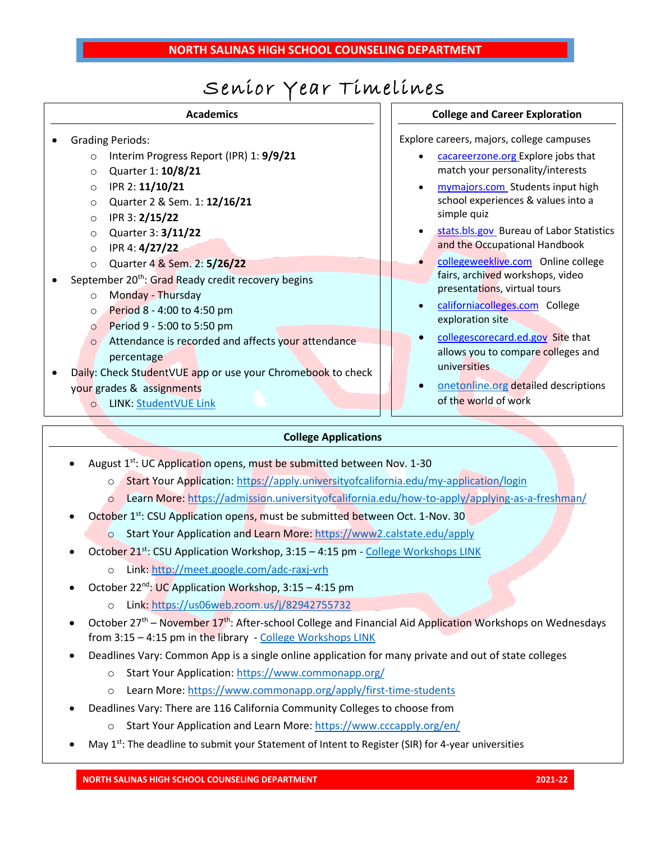# Senior Year Timelines

| <b>Academics</b>                                               |           |
|----------------------------------------------------------------|-----------|
| <b>Grading Periods:</b>                                        | Explore o |
| Interim Progress Report (IPR) 1: 9/9/21<br>$\circ$             |           |
| Quarter 1: 10/8/21<br>$\circ$                                  |           |
| IPR 2: 11/10/21<br>$\circ$                                     |           |
| Quarter 2 & Sem. 1: 12/16/21<br>$\circ$                        |           |
| IPR 3: 2/15/22<br>$\circ$                                      |           |
| Quarter 3: 3/11/22<br>$\circ$                                  |           |
| IPR 4: 4/27/22<br>$\circ$                                      |           |
| Quarter 4 & Sem. 2: 5/26/22<br>$\circ$                         |           |
| September 20 <sup>th</sup> : Grad Ready credit recovery begins |           |
| Monday - Thursday<br>$\circ$                                   |           |
| Period 8 - 4:00 to 4:50 pm<br>$\circ$                          |           |
| Period 9 - 5:00 to 5:50 pm<br>$\circ$                          |           |
| Attendance is recorded and affects your attendance<br>$\circ$  |           |
| percentage                                                     |           |
| Daily: Check StudentVUE app or use your Chromebook to check    |           |
| your grades & assignments                                      |           |
|                                                                |           |

### o LINK: [StudentVUE Link](https://ca-suhsd-psv.edupoint.com/PXP2_Login_Student.aspx?regenerateSessionId=True)

#### **College and Career Exploration**

careers, majors, college campuses

- [cacareerzone.org](https://www.cacareerzone.org/index.html) Explore jobs that match your personality/interests
- [mymajors.com](https://www.mymajors.com/) Students input high school experiences & values into a simple quiz
- [stats.bls.gov](https://www.bls.gov/) Bureau of Labor Statistics and the Occupational Handbook
- [collegeweeklive.com](https://collegeweeklive.com/) Online college fairs, archived workshops, video presentations, virtual tours
- [californiacolleges.com](http://www.californiacolleges.com/) College exploration site
- [collegescorecard.ed.gov](https://collegescorecard.ed.gov/) Site that allows you to compare colleges and universities
- [onetonline.org](https://www.onetonline.org/) detailed descriptions of the world of work

### **College Applications**

- August  $1^{st}$ : UC Application opens, must be submitted between Nov. 1-30
	- o Start Your Application[: https://apply.universityofcalifornia.edu/my-application/login](https://apply.universityofcalifornia.edu/my-application/login)
	- o Learn More[: https://admission.universityofcalifornia.edu/how-to-apply/applying-as-a-freshman/](https://admission.universityofcalifornia.edu/how-to-apply/applying-as-a-freshman/)
- October 1<sup>st</sup>: CSU Application opens, must be submitted between Oct. 1-Nov. 30
	- o Start Your Application and Learn More:<https://www2.calstate.edu/apply>
- October 21<sup>st</sup>: CSU Application Workshop, 3:15 4:15 pm [College Workshops LINK](https://www.salinasuhsd.org/Page/2518)
	- o Link[: http://meet.google.com/adc-raxj-vrh](http://meet.google.com/adc-raxj-vrh)
- October 22<sup>nd</sup>: UC Application Workshop, 3:15 4:15 pm
	- o Link[: https://us06web.zoom.us/j/82942755732](https://us06web.zoom.us/j/82942755732)
- October 27<sup>th</sup> November 17<sup>th</sup>: After-school College and Financial Aid Application Workshops on Wednesdays from 3:15 – 4:15 pm in the library - [College Workshops LINK](https://www.salinasuhsd.org/Page/2518)
- Deadlines Vary: Common App is a single online application for many private and out of state colleges
	- o Start Your Application[: https://www.commonapp.org/](https://www.commonapp.org/)
	- o Learn More[: https://www.commonapp.org/apply/first-time-students](https://www.commonapp.org/apply/first-time-students)
- Deadlines Vary: There are 116 California Community Colleges to choose from
	- o Start Your Application and Learn More:<https://www.cccapply.org/en/>
- May  $1^{st}$ : The deadline to submit your Statement of Intent to Register (SIR) for 4-year universities

**NORTH SALINAS HIGH SCHOOL COUNSELING DEPARTMENT 2021-22**